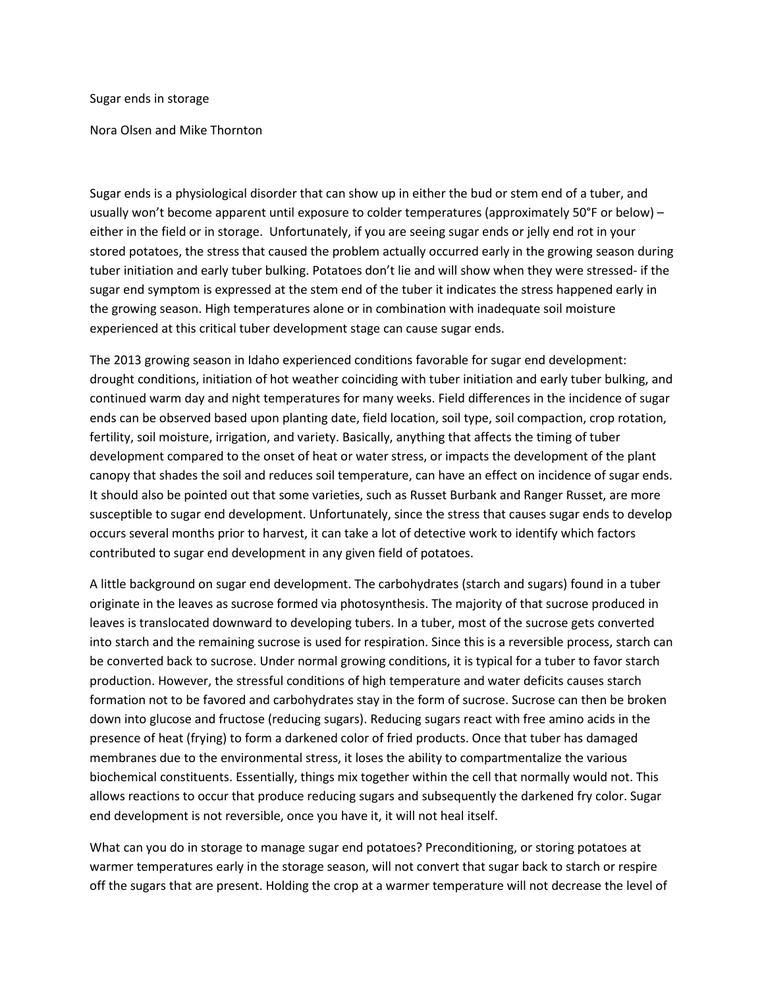Sugar ends in storage

Nora Olsen and Mike Thornton

Sugar ends is a physiological disorder that can show up in either the bud or stem end of a tuber, and usually won't become apparent until exposure to colder temperatures (approximately 50°F or below) – either in the field or in storage. Unfortunately, if you are seeing sugar ends or jelly end rot in your stored potatoes, the stress that caused the problem actually occurred early in the growing season during tuber initiation and early tuber bulking. Potatoes don't lie and will show when they were stressed- if the sugar end symptom is expressed at the stem end of the tuber it indicates the stress happened early in the growing season. High temperatures alone or in combination with inadequate soil moisture experienced at this critical tuber development stage can cause sugar ends.

The 2013 growing season in Idaho experienced conditions favorable for sugar end development: drought conditions, initiation of hot weather coinciding with tuber initiation and early tuber bulking, and continued warm day and night temperatures for many weeks. Field differences in the incidence of sugar ends can be observed based upon planting date, field location, soil type, soil compaction, crop rotation, fertility, soil moisture, irrigation, and variety. Basically, anything that affects the timing of tuber development compared to the onset of heat or water stress, or impacts the development of the plant canopy that shades the soil and reduces soil temperature, can have an effect on incidence of sugar ends. It should also be pointed out that some varieties, such as Russet Burbank and Ranger Russet, are more susceptible to sugar end development. Unfortunately, since the stress that causes sugar ends to develop occurs several months prior to harvest, it can take a lot of detective work to identify which factors contributed to sugar end development in any given field of potatoes.

A little background on sugar end development. The carbohydrates (starch and sugars) found in a tuber originate in the leaves as sucrose formed via photosynthesis. The majority of that sucrose produced in leaves is translocated downward to developing tubers. In a tuber, most of the sucrose gets converted into starch and the remaining sucrose is used for respiration. Since this is a reversible process, starch can be converted back to sucrose. Under normal growing conditions, it is typical for a tuber to favor starch production. However, the stressful conditions of high temperature and water deficits causes starch formation not to be favored and carbohydrates stay in the form of sucrose. Sucrose can then be broken down into glucose and fructose (reducing sugars). Reducing sugars react with free amino acids in the presence of heat (frying) to form a darkened color of fried products. Once that tuber has damaged membranes due to the environmental stress, it loses the ability to compartmentalize the various biochemical constituents. Essentially, things mix together within the cell that normally would not. This allows reactions to occur that produce reducing sugars and subsequently the darkened fry color. Sugar end development is not reversible, once you have it, it will not heal itself.

What can you do in storage to manage sugar end potatoes? Preconditioning, or storing potatoes at warmer temperatures early in the storage season, will not convert that sugar back to starch or respire off the sugars that are present. Holding the crop at a warmer temperature will not decrease the level of